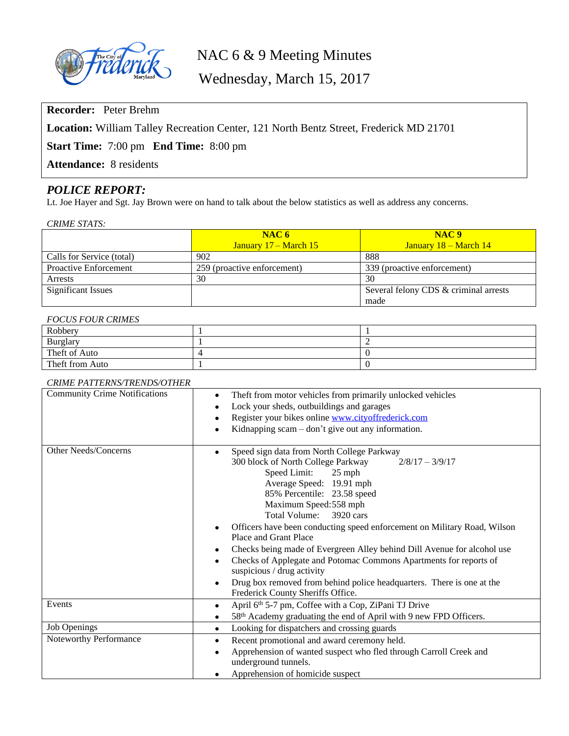

# NAC 6 & 9 Meeting Minutes

Wednesday, March 15, 2017

**Recorder:** Peter Brehm

**Location:** William Talley Recreation Center, 121 North Bentz Street, Frederick MD 21701

**Start Time:** 7:00 pm **End Time:** 8:00 pm

**Attendance:** 8 residents

# *POLICE REPORT:*

Lt. Joe Hayer and Sgt. Jay Brown were on hand to talk about the below statistics as well as address any concerns.

| <b>CRIME STATS:</b> |
|---------------------|
|                     |
|                     |

|                           | NAC6                         | NAC <sub>9</sub>                      |
|---------------------------|------------------------------|---------------------------------------|
|                           | <b>January 17 – March 15</b> | <b>January 18 – March 14</b>          |
| Calls for Service (total) | 902                          | 888                                   |
| Proactive Enforcement     | 259 (proactive enforcement)  | 339 (proactive enforcement)           |
| Arrests                   | 30                           | 30                                    |
| <b>Significant Issues</b> |                              | Several felony CDS & criminal arrests |
|                           |                              | made                                  |

#### *FOCUS FOUR CRIMES*

| Robbery         |  |
|-----------------|--|
| <b>Burglary</b> |  |
| Theft of Auto   |  |
| Theft from Auto |  |

#### *CRIME PATTERNS/TRENDS/OTHER*

| <b>Community Crime Notifications</b> | Theft from motor vehicles from primarily unlocked vehicles<br>$\bullet$<br>Lock your sheds, outbuildings and garages<br>Register your bikes online www.cityoffrederick.com<br>Kidnapping scam – don't give out any information.                                                                                                                                                                                                                                                                                                                                                                                                                                              |  |
|--------------------------------------|------------------------------------------------------------------------------------------------------------------------------------------------------------------------------------------------------------------------------------------------------------------------------------------------------------------------------------------------------------------------------------------------------------------------------------------------------------------------------------------------------------------------------------------------------------------------------------------------------------------------------------------------------------------------------|--|
| <b>Other Needs/Concerns</b>          | Speed sign data from North College Parkway<br>٠<br>300 block of North College Parkway<br>$2/8/17 - 3/9/17$<br>Speed Limit:<br>$25$ mph<br>Average Speed: 19.91 mph<br>85% Percentile: 23.58 speed<br>Maximum Speed: 558 mph<br>Total Volume:<br>3920 cars<br>Officers have been conducting speed enforcement on Military Road, Wilson<br>Place and Grant Place<br>Checks being made of Evergreen Alley behind Dill Avenue for alcohol use<br>٠<br>Checks of Applegate and Potomac Commons Apartments for reports of<br>suspicious / drug activity<br>Drug box removed from behind police headquarters. There is one at the<br>$\bullet$<br>Frederick County Sheriffs Office. |  |
| Events                               | April 6th 5-7 pm, Coffee with a Cop, ZiPani TJ Drive<br>58 <sup>th</sup> Academy graduating the end of April with 9 new FPD Officers.                                                                                                                                                                                                                                                                                                                                                                                                                                                                                                                                        |  |
| <b>Job Openings</b>                  | Looking for dispatchers and crossing guards                                                                                                                                                                                                                                                                                                                                                                                                                                                                                                                                                                                                                                  |  |
| Noteworthy Performance               | Recent promotional and award ceremony held.<br>$\bullet$<br>Apprehension of wanted suspect who fled through Carroll Creek and<br>$\bullet$<br>underground tunnels.<br>Apprehension of homicide suspect                                                                                                                                                                                                                                                                                                                                                                                                                                                                       |  |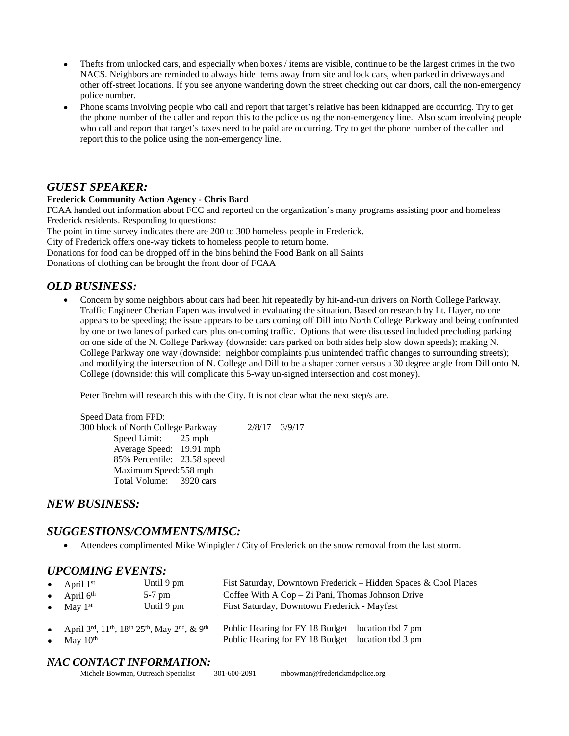- Thefts from unlocked cars, and especially when boxes / items are visible, continue to be the largest crimes in the two NACS. Neighbors are reminded to always hide items away from site and lock cars, when parked in driveways and other off-street locations. If you see anyone wandering down the street checking out car doors, call the non-emergency police number.
- Phone scams involving people who call and report that target's relative has been kidnapped are occurring. Try to get the phone number of the caller and report this to the police using the non-emergency line. Also scam involving people who call and report that target's taxes need to be paid are occurring. Try to get the phone number of the caller and report this to the police using the non-emergency line.

# *GUEST SPEAKER:*

#### **Frederick Community Action Agency - Chris Bard**

FCAA handed out information about FCC and reported on the organization's many programs assisting poor and homeless Frederick residents. Responding to questions:

The point in time survey indicates there are 200 to 300 homeless people in Frederick.

City of Frederick offers one-way tickets to homeless people to return home.

Donations for food can be dropped off in the bins behind the Food Bank on all Saints

Donations of clothing can be brought the front door of FCAA

# *OLD BUSINESS:*

 Concern by some neighbors about cars had been hit repeatedly by hit-and-run drivers on North College Parkway. Traffic Engineer Cherian Eapen was involved in evaluating the situation. Based on research by Lt. Hayer, no one appears to be speeding; the issue appears to be cars coming off Dill into North College Parkway and being confronted by one or two lanes of parked cars plus on-coming traffic. Options that were discussed included precluding parking on one side of the N. College Parkway (downside: cars parked on both sides help slow down speeds); making N. College Parkway one way (downside: neighbor complaints plus unintended traffic changes to surrounding streets); and modifying the intersection of N. College and Dill to be a shaper corner versus a 30 degree angle from Dill onto N. College (downside: this will complicate this 5-way un-signed intersection and cost money).

Peter Brehm will research this with the City. It is not clear what the next step/s are.

Speed Data from FPD: 300 block of North College Parkway 2/8/17 – 3/9/17 Speed Limit: 25 mph Average Speed: 19.91 mph 85% Percentile: 23.58 speed Maximum Speed:558 mph Total Volume: 3920 cars

*NEW BUSINESS:*

## *SUGGESTIONS/COMMENTS/MISC:*

Attendees complimented Mike Winpigler / City of Frederick on the snow removal from the last storm.

## *UPCOMING EVENTS:*

| $\bullet$ | • April $1st$                                                                                 | Until 9 pm | Fist Saturday, Downtown Frederick – Hidden Spaces & Cool Places                                            |
|-----------|-----------------------------------------------------------------------------------------------|------------|------------------------------------------------------------------------------------------------------------|
|           | • April $6th$                                                                                 | $5-7$ pm   | Coffee With $A$ Cop – Zi Pani, Thomas Johnson Drive                                                        |
|           | May $1st$                                                                                     | Until 9 pm | First Saturday, Downtown Frederick - Mayfest                                                               |
| $\bullet$ | • April 3rd, $11^{th}$ , $18^{th}$ $25^{th}$ , May $2^{nd}$ , & 9 <sup>th</sup><br>May $10th$ |            | Public Hearing for FY 18 Budget – location tbd 7 pm<br>Public Hearing for FY 18 Budget – location tbd 3 pm |

#### *NAC CONTACT INFORMATION:*

| Michele Bowman, Outreach Specialist | 301-600-2091 | mbowman@frederickmdpolice.org |
|-------------------------------------|--------------|-------------------------------|
|-------------------------------------|--------------|-------------------------------|